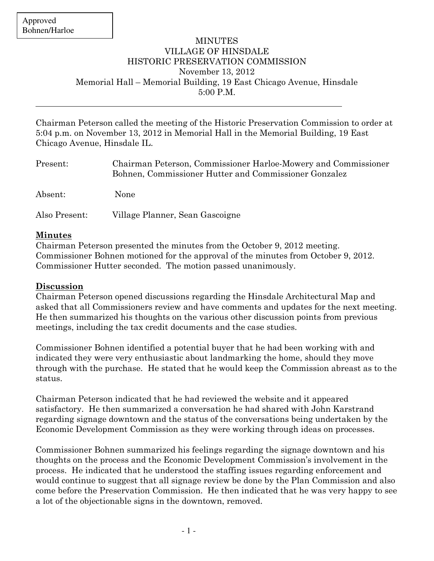$\overline{a}$ 

## MINUTES VILLAGE OF HINSDALE HISTORIC PRESERVATION COMMISSION November 13, 2012 Memorial Hall – Memorial Building, 19 East Chicago Avenue, Hinsdale 5:00 P.M.

Chairman Peterson called the meeting of the Historic Preservation Commission to order at 5:04 p.m. on November 13, 2012 in Memorial Hall in the Memorial Building, 19 East Chicago Avenue, Hinsdale IL.

| Present:      | Chairman Peterson, Commissioner Harloe-Mowery and Commissioner<br>Bohnen, Commissioner Hutter and Commissioner Gonzalez |
|---------------|-------------------------------------------------------------------------------------------------------------------------|
| Absent:       | None                                                                                                                    |
| Also Present: | Village Planner, Sean Gascoigne                                                                                         |

## Minutes

Chairman Peterson presented the minutes from the October 9, 2012 meeting. Commissioner Bohnen motioned for the approval of the minutes from October 9, 2012. Commissioner Hutter seconded. The motion passed unanimously.

## Discussion

Chairman Peterson opened discussions regarding the Hinsdale Architectural Map and asked that all Commissioners review and have comments and updates for the next meeting. He then summarized his thoughts on the various other discussion points from previous meetings, including the tax credit documents and the case studies.

Commissioner Bohnen identified a potential buyer that he had been working with and indicated they were very enthusiastic about landmarking the home, should they move through with the purchase. He stated that he would keep the Commission abreast as to the status.

Chairman Peterson indicated that he had reviewed the website and it appeared satisfactory. He then summarized a conversation he had shared with John Karstrand regarding signage downtown and the status of the conversations being undertaken by the Economic Development Commission as they were working through ideas on processes.

Commissioner Bohnen summarized his feelings regarding the signage downtown and his thoughts on the process and the Economic Development Commission's involvement in the process. He indicated that he understood the staffing issues regarding enforcement and would continue to suggest that all signage review be done by the Plan Commission and also come before the Preservation Commission. He then indicated that he was very happy to see a lot of the objectionable signs in the downtown, removed.